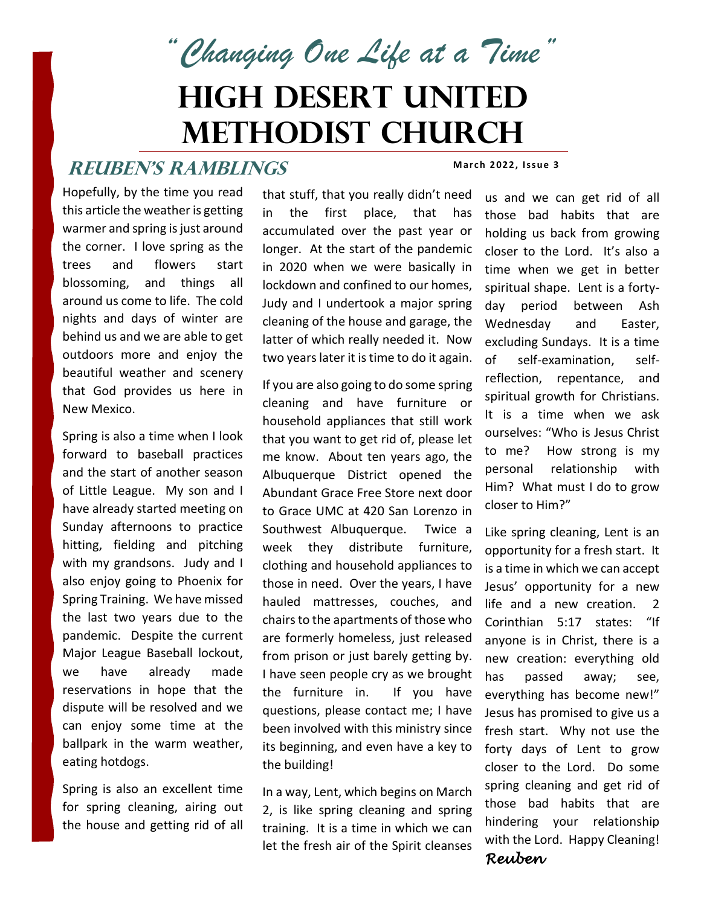*"Changing One Life at a Time"*

# **High Desert United Methodist Church**

### **ReuBEN'S RAMBLINGS**

**Marc h 2 022, Iss ue 3**

Hopefully, by the time you read this article the weather is getting warmer and spring is just around the corner. I love spring as the trees and flowers start blossoming, and things all around us come to life. The cold nights and days of winter are behind us and we are able to get outdoors more and enjoy the beautiful weather and scenery that God provides us here in New Mexico.

Spring is also a time when I look forward to baseball practices and the start of another season of Little League. My son and I have already started meeting on Sunday afternoons to practice hitting, fielding and pitching with my grandsons. Judy and I also enjoy going to Phoenix for Spring Training. We have missed the last two years due to the pandemic. Despite the current Major League Baseball lockout, we have already made reservations in hope that the dispute will be resolved and we can enjoy some time at the ballpark in the warm weather, eating hotdogs.

Spring is also an excellent time for spring cleaning, airing out the house and getting rid of all

that stuff, that you really didn't need in the first place, that has accumulated over the past year or longer. At the start of the pandemic in 2020 when we were basically in lockdown and confined to our homes, Judy and I undertook a major spring cleaning of the house and garage, the latter of which really needed it. Now two years later it is time to do it again.

If you are also going to do some spring cleaning and have furniture or household appliances that still work that you want to get rid of, please let me know. About ten years ago, the Albuquerque District opened the Abundant Grace Free Store next door to Grace UMC at 420 San Lorenzo in Southwest Albuquerque. Twice a week they distribute furniture, clothing and household appliances to those in need. Over the years, I have hauled mattresses, couches, and chairs to the apartments of those who are formerly homeless, just released from prison or just barely getting by. I have seen people cry as we brought the furniture in. If you have questions, please contact me; I have been involved with this ministry since its beginning, and even have a key to the building!

In a way, Lent, which begins on March 2, is like spring cleaning and spring training. It is a time in which we can let the fresh air of the Spirit cleanses

us and we can get rid of all those bad habits that are holding us back from growing closer to the Lord. It's also a time when we get in better spiritual shape. Lent is a fortyday period between Ash Wednesday and Easter, excluding Sundays. It is a time of self-examination, selfreflection, repentance, and spiritual growth for Christians. It is a time when we ask ourselves: "Who is Jesus Christ to me? How strong is my personal relationship with Him? What must I do to grow closer to Him?"

Like spring cleaning, Lent is an opportunity for a fresh start. It is a time in which we can accept Jesus' opportunity for a new life and a new creation. 2 Corinthian 5:17 states: "If anyone is in Christ, there is a new creation: everything old has passed away; see, everything has become new!" Jesus has promised to give us a fresh start. Why not use the forty days of Lent to grow closer to the Lord. Do some spring cleaning and get rid of those bad habits that are hindering your relationship with the Lord. Happy Cleaning! *Reuben*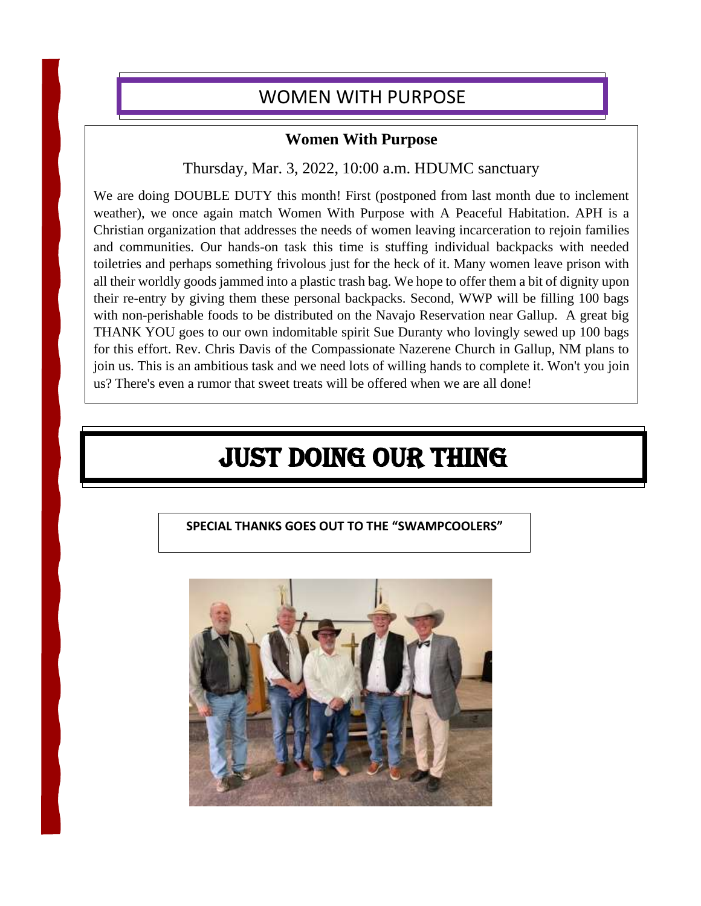## WOMEN WITH PURPOSE

#### **Women With Purpose**

I

Thursday, Mar. 3, 2022, 10:00 a.m. HDUMC sanctuary

We are doing DOUBLE DUTY this month! First (postponed from last month due to inclement weather), we once again match Women With Purpose with A Peaceful Habitation. APH is a Christian organization that addresses the needs of women leaving incarceration to rejoin families and communities. Our hands-on task this time is stuffing individual backpacks with needed toiletries and perhaps something frivolous just for the heck of it. Many women leave prison with all their worldly goods jammed into a plastic trash bag. We hope to offer them a bit of dignity upon their re-entry by giving them these personal backpacks. Second, WWP will be filling 100 bags with non-perishable foods to be distributed on the Navajo Reservation near Gallup. A great big THANK YOU goes to our own indomitable spirit Sue Duranty who lovingly sewed up 100 bags for this effort. Rev. Chris Davis of the Compassionate Nazerene Church in Gallup, NM plans to join us. This is an ambitious task and we need lots of willing hands to complete it. Won't you join us? There's even a rumor that sweet treats will be offered when we are all done!

# JUST DOING OUR THING

#### **SPECIAL THANKS GOES OUT TO THE "SWAMPCOOLERS"**

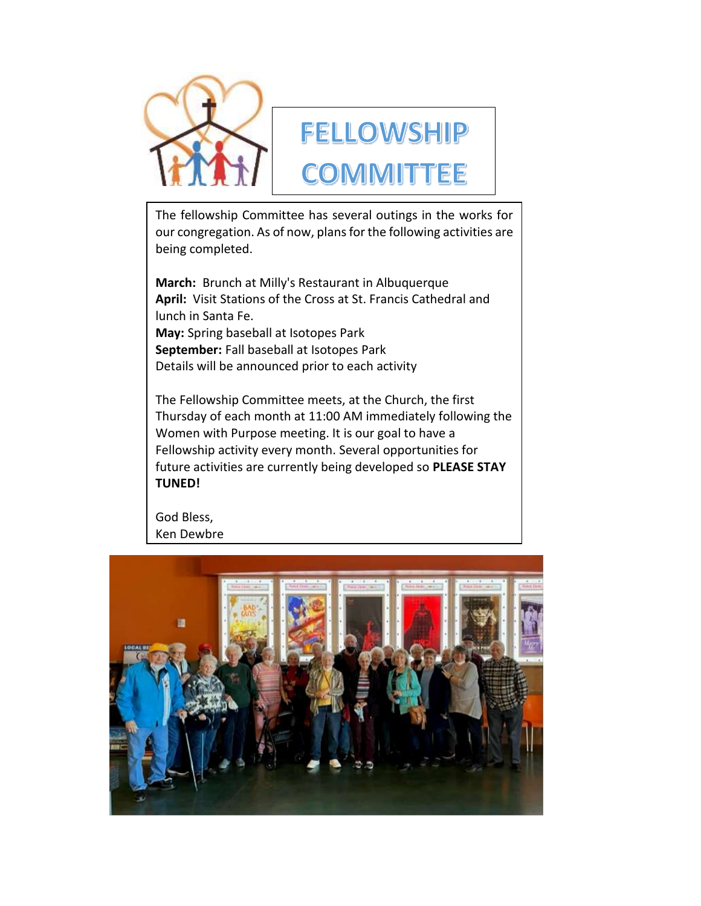

# FELLOWSHIP **COMMITTEE**

The fellowship Committee has several outings in the works for our congregation. As of now, plans for the following activities are being completed.

**March:** Brunch at Milly's Restaurant in Albuquerque **April:** Visit Stations of the Cross at St. Francis Cathedral and lunch in Santa Fe.

**May:** Spring baseball at Isotopes Park **September:** Fall baseball at Isotopes Park Details will be announced prior to each activity

The Fellowship Committee meets, at the Church, the first Thursday of each month at 11:00 AM immediately following the Women with Purpose meeting. It is our goal to have a Fellowship activity every month. Several opportunities for future activities are currently being developed so **PLEASE STAY TUNED!**

God Bless, Ken Dewbre

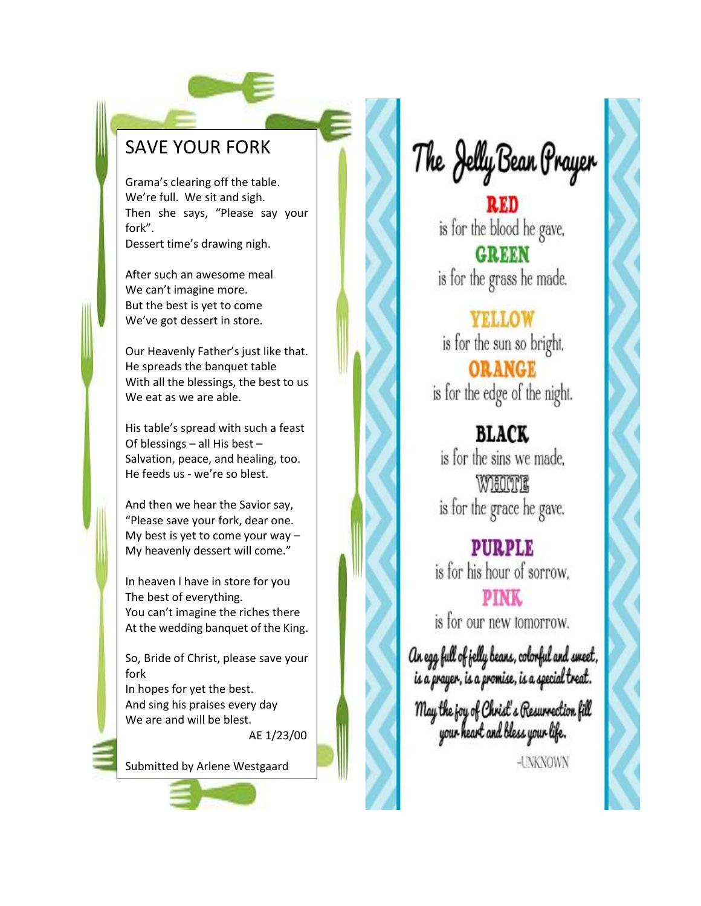## SAVE YOUR FORK

Grama's clearing off the table. We're full. We sit and sigh. Then she says, "Please say your fork". Dessert time's drawing nigh.

After such an awesome meal We can't imagine more. But the best is yet to come We've got dessert in store.

Our Heavenly Father's just like that. He spreads the banquet table With all the blessings, the best to us We eat as we are able.

His table's spread with such a feast Of blessings – all His best – Salvation, peace, and healing, too. He feeds us - we're so blest.

And then we hear the Savior say, "Please save your fork, dear one. My best is yet to come your way – My heavenly dessert will come."

In heaven I have in store for you The best of everything. You can't imagine the riches there At the wedding banquet of the King.

So, Bride of Christ, please save your fork

In hopes for yet the best. And sing his praises every day We are and will be blest.

AE 1/23/00

Submitted by Arlene Westgaard



The Jelly Bean Prayer

is for the blood he gave, **GREEN** is for the grass he made.

**YELLOW** is for the sun so bright,

**ORANGE** is for the edge of the night.

**BLACK** is for the sins we made, WHOMME is for the grace he gave.

## **PURPLE**

is for his hour of sorrow.

PINK is for our new tomorrow.

An egg full of jelly beans, colorful and smeet,<br>is a prayer, is a promise, is a special treat.

May the joy of Christ's Resurrection fill<br>your heart and bless your life.

-UNKNOWN

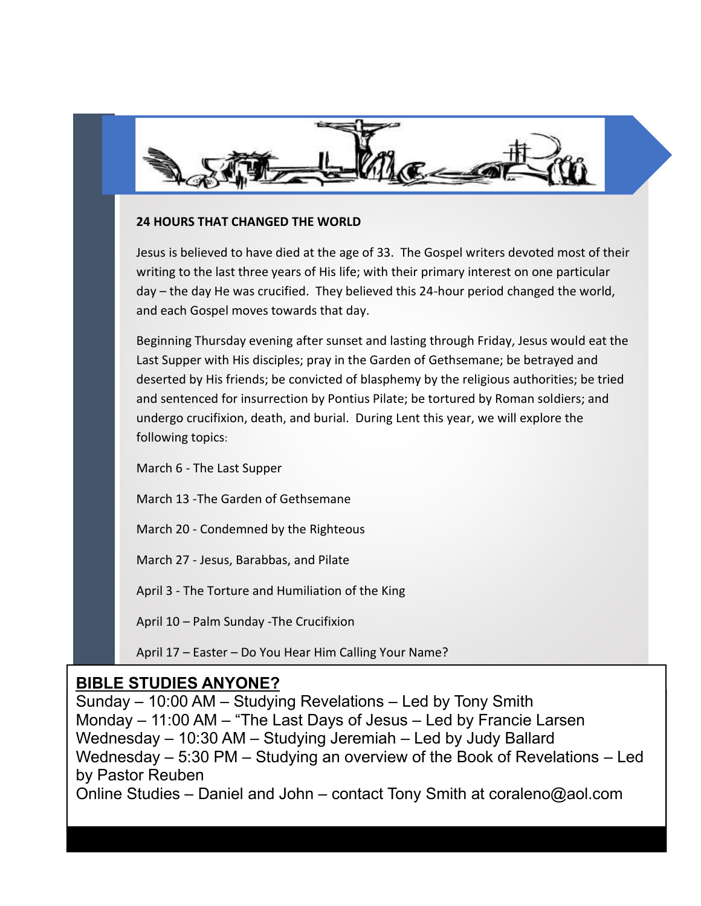

#### **24 HOURS THAT CHANGED THE WORLD**

Jesus is believed to have died at the age of 33. The Gospel writers devoted most of their writing to the last three years of His life; with their primary interest on one particular day – the day He was crucified. They believed this 24-hour period changed the world, and each Gospel moves towards that day.

Beginning Thursday evening after sunset and lasting through Friday, Jesus would eat the Last Supper with His disciples; pray in the Garden of Gethsemane; be betrayed and deserted by His friends; be convicted of blasphemy by the religious authorities; be tried and sentenced for insurrection by Pontius Pilate; be tortured by Roman soldiers; and undergo crucifixion, death, and burial. During Lent this year, we will explore the following topics:

March 6 - The Last Supper

March 13 -The Garden of Gethsemane

March 20 - Condemned by the Righteous

March 27 - Jesus, Barabbas, and Pilate

April 3 - The Torture and Humiliation of the King

April 10 – Palm Sunday -The Crucifixion

April 17 – Easter – Do You Hear Him Calling Your Name?

### **BIBLE STUDIES ANYONE?**

Sunday – 10:00 AM – Studying Revelations – Led by Tony Smith Monday – 11:00 AM – "The Last Days of Jesus – Led by Francie Larsen Wednesday – 10:30 AM – Studying Jeremiah – Led by Judy Ballard Wednesday – 5:30 PM – Studying an overview of the Book of Revelations – Led by Pastor Reuben Online Studies – Daniel and John – contact Tony Smith at coraleno@aol.com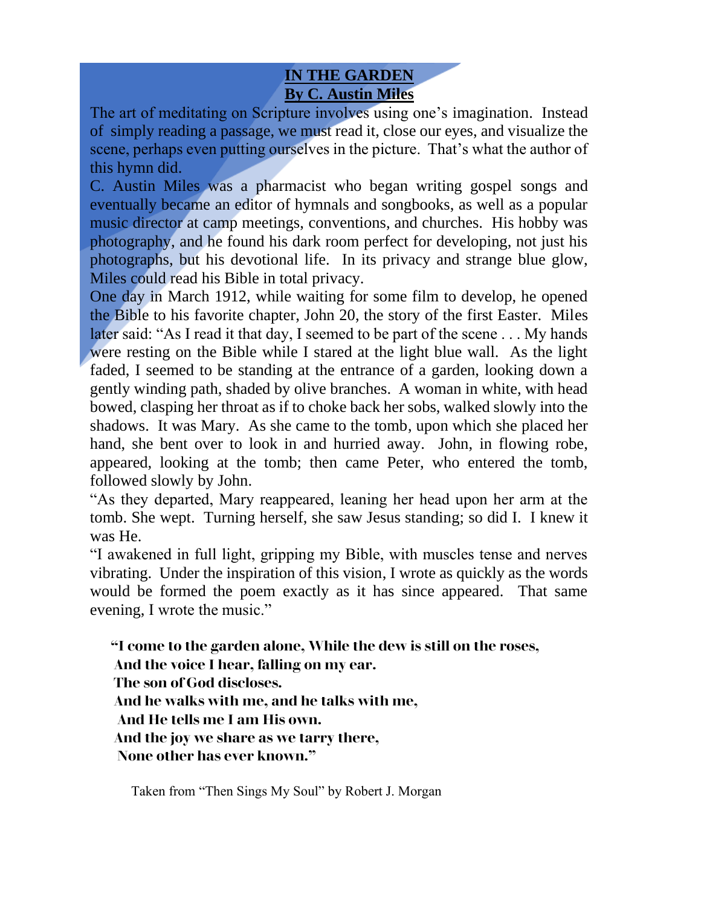#### **IN THE GARDEN By C. Austin Miles**

The art of meditating on Scripture involves using one's imagination. Instead of simply reading a passage, we must read it, close our eyes, and visualize the scene, perhaps even putting ourselves in the picture. That's what the author of this hymn did.

C. Austin Miles was a pharmacist who began writing gospel songs and eventually became an editor of hymnals and songbooks, as well as a popular music director at camp meetings, conventions, and churches. His hobby was photography, and he found his dark room perfect for developing, not just his photographs, but his devotional life. In its privacy and strange blue glow, Miles could read his Bible in total privacy.

One day in March 1912, while waiting for some film to develop, he opened the Bible to his favorite chapter, John 20, the story of the first Easter. Miles later said: "As I read it that day, I seemed to be part of the scene . . . My hands were resting on the Bible while I stared at the light blue wall. As the light faded, I seemed to be standing at the entrance of a garden, looking down a gently winding path, shaded by olive branches. A woman in white, with head bowed, clasping her throat as if to choke back her sobs, walked slowly into the shadows. It was Mary. As she came to the tomb, upon which she placed her hand, she bent over to look in and hurried away. John, in flowing robe, appeared, looking at the tomb; then came Peter, who entered the tomb, followed slowly by John.

"As they departed, Mary reappeared, leaning her head upon her arm at the tomb. She wept. Turning herself, she saw Jesus standing; so did I. I knew it was He.

"I awakened in full light, gripping my Bible, with muscles tense and nerves vibrating. Under the inspiration of this vision, I wrote as quickly as the words would be formed the poem exactly as it has since appeared. That same evening, I wrote the music."

**"I come to the garden alone, While the dew is still on the roses, And the voice I hear, falling on my ear. The son of God discloses. And he walks with me, and he talks with me, And He tells me I am His own. And the joy we share as we tarry there, None other has ever known."**

Taken from "Then Sings My Soul" by Robert J. Morgan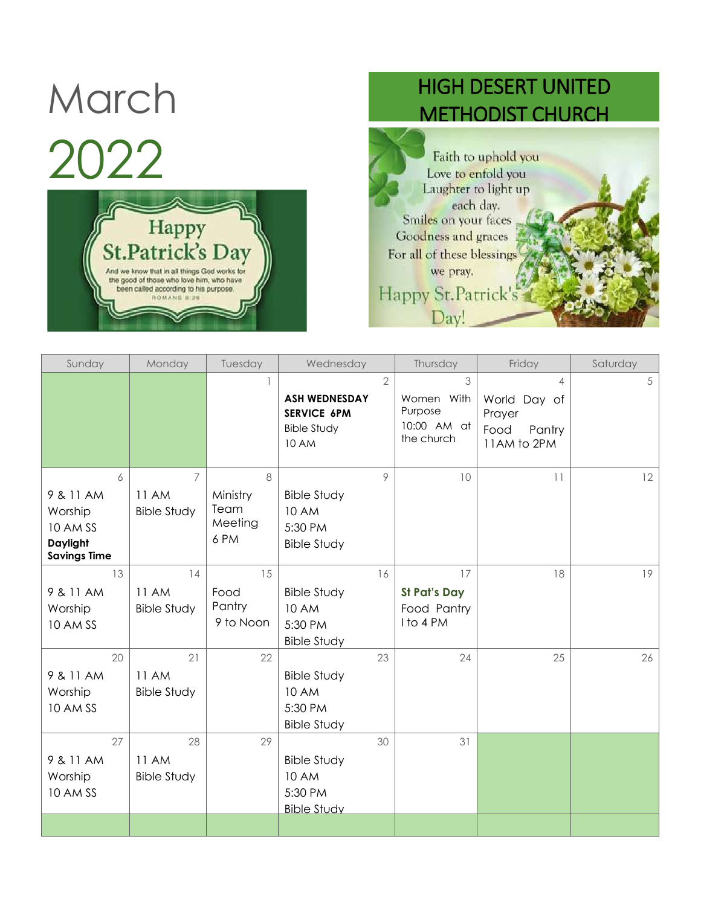# 2022



## March HIGH DESERT UNITED METHODIST CHURCH



| Sunday                                                                                 | Monday                                        | Tuesday                                  | Wednesday                                                                        |                | Thursday                                                | Friday                                                                    | Saturday |
|----------------------------------------------------------------------------------------|-----------------------------------------------|------------------------------------------|----------------------------------------------------------------------------------|----------------|---------------------------------------------------------|---------------------------------------------------------------------------|----------|
|                                                                                        |                                               |                                          | <b>ASH WEDNESDAY</b><br><b>SERVICE 6PM</b><br><b>Bible Study</b><br><b>10 AM</b> | $\overline{2}$ | 3<br>Women With<br>Purpose<br>10:00 AM at<br>the church | $\overline{4}$<br>World Day of<br>Prayer<br>Food<br>Pantry<br>11AM to 2PM | 5        |
| 6<br>9 & 11 AM<br>Worship<br><b>10 AM SS</b><br><b>Daylight</b><br><b>Savings Time</b> | $\overline{7}$<br>11 AM<br><b>Bible Study</b> | 8<br>Ministry<br>Team<br>Meeting<br>6 PM | <b>Bible Study</b><br>10 AM<br>5:30 PM<br><b>Bible Study</b>                     | $\circ$        | 10                                                      | 11                                                                        | 12       |
| 13<br>9 & 11 AM<br>Worship<br>10 AM SS                                                 | 14<br>11 AM<br><b>Bible Study</b>             | 15<br>Food<br>Pantry<br>9 to Noon        | 16<br><b>Bible Study</b><br><b>10 AM</b><br>5:30 PM<br><b>Bible Study</b>        |                | 17<br><b>St Pat's Day</b><br>Food Pantry<br>I to 4 PM   | 18                                                                        | 19       |
| 20<br>9 & 11 AM<br>Worship<br>10 AM SS                                                 | 21<br>11 AM<br><b>Bible Study</b>             | 22                                       | 23<br><b>Bible Study</b><br><b>10 AM</b><br>5:30 PM<br><b>Bible Study</b>        |                | 24                                                      | 25                                                                        | 26       |
| 27<br>9 & 11 AM<br>Worship<br><b>10 AM SS</b>                                          | 28<br>11 AM<br><b>Bible Study</b>             | 29                                       | 30<br><b>Bible Study</b><br><b>10 AM</b><br>5:30 PM<br><b>Bible Study</b>        |                | 31                                                      |                                                                           |          |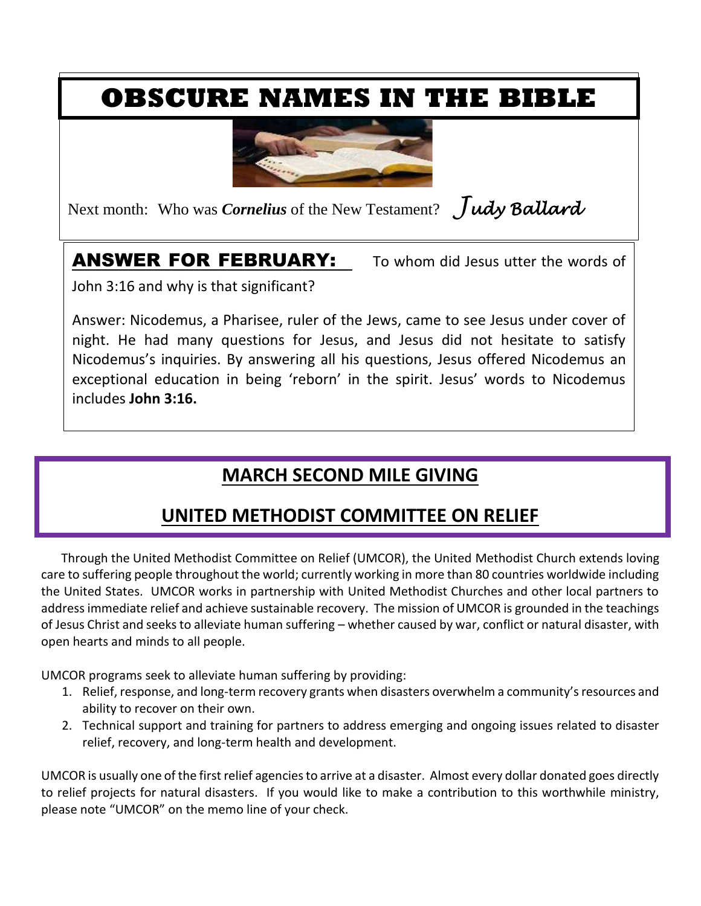# **OBSCURE NAMES IN THE BIBLE**



Next month: Who was *Cornelius* of the New Testament? *Judy Ballard*

## **ANSWER FOR FEBRUARY:** To whom did Jesus utter the words of

John 3:16 and why is that significant?

Answer: Nicodemus, a Pharisee, ruler of the Jews, came to see Jesus under cover of night. He had many questions for Jesus, and Jesus did not hesitate to satisfy Nicodemus's inquiries. By answering all his questions, Jesus offered Nicodemus an exceptional education in being 'reborn' in the spirit. Jesus' words to Nicodemus includes **John 3:16.**

## **MARCH SECOND MILE GIVING**

## **UNITED METHODIST COMMITTEE ON RELIEF**

 Through the United Methodist Committee on Relief (UMCOR), the United Methodist Church extends loving care to suffering people throughout the world; currently working in more than 80 countries worldwide including the United States. UMCOR works in partnership with United Methodist Churches and other local partners to addressimmediate relief and achieve sustainable recovery. The mission of UMCOR is grounded in the teachings of Jesus Christ and seeks to alleviate human suffering – whether caused by war, conflict or natural disaster, with open hearts and minds to all people.

UMCOR programs seek to alleviate human suffering by providing:

- 1. Relief, response, and long-term recovery grants when disasters overwhelm a community's resources and ability to recover on their own.
- 2. Technical support and training for partners to address emerging and ongoing issues related to disaster relief, recovery, and long-term health and development.

UMCOR is usually one of the first relief agencies to arrive at a disaster. Almost every dollar donated goes directly to relief projects for natural disasters. If you would like to make a contribution to this worthwhile ministry, please note "UMCOR" on the memo line of your check.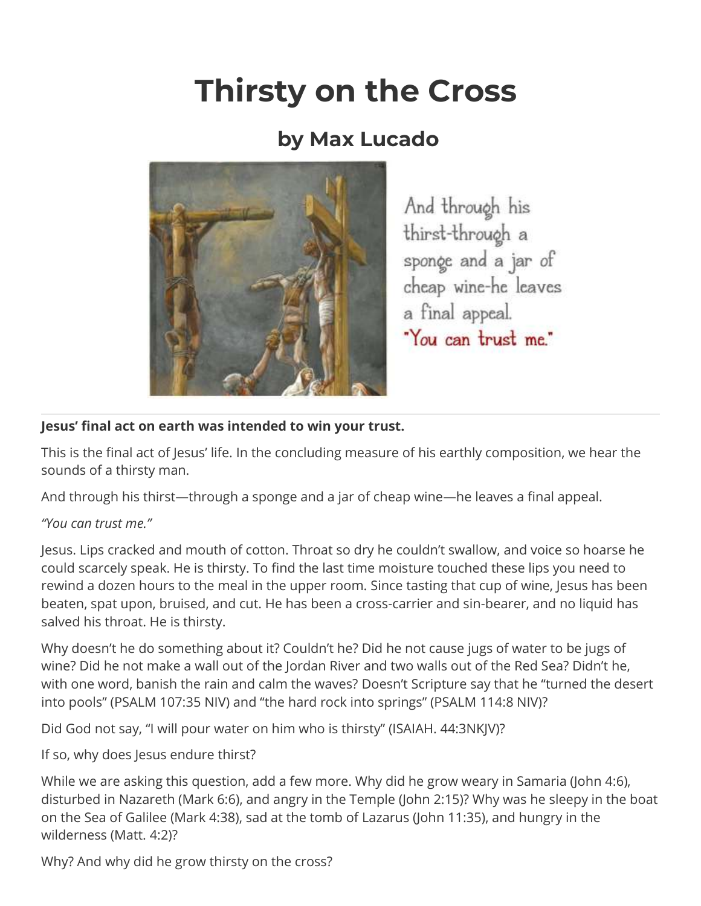# **Thirsty on the Cross**

## **by Max Lucado**



And through his thirst-through a sponge and a jar of cheap wine-he leaves a final appeal. "You can trust me."

#### **Jesus' final act on earth was intended to win your trust.**

This is the final act of Jesus' life. In the concluding measure of his earthly composition, we hear the sounds of a thirsty man.

And through his thirst—through a sponge and a jar of cheap wine—he leaves a final appeal.

#### *"You can trust me."*

Jesus. Lips cracked and mouth of cotton. Throat so dry he couldn't swallow, and voice so hoarse he could scarcely speak. He is thirsty. To find the last time moisture touched these lips you need to rewind a dozen hours to the meal in the upper room. Since tasting that cup of wine, Jesus has been beaten, spat upon, bruised, and cut. He has been a cross-carrier and sin-bearer, and no liquid has salved his throat. He is thirsty.

Why doesn't he do something about it? Couldn't he? Did he not cause jugs of water to be jugs of wine? Did he not make a wall out of the Jordan River and two walls out of the Red Sea? Didn't he, with one word, banish the rain and calm the waves? Doesn't Scripture say that he "turned the desert into pools" (PSALM 107:35 NIV) and "the hard rock into springs" (PSALM 114:8 NIV)?

Did God not say, "I will pour water on him who is thirsty" (ISAIAH. 44:3NKJV)?

If so, why does Jesus endure thirst?

While we are asking this question, add a few more. Why did he grow weary in Samaria (John 4:6), disturbed in Nazareth (Mark 6:6), and angry in the Temple (John 2:15)? Why was he sleepy in the boat on the Sea of Galilee (Mark 4:38), sad at the tomb of Lazarus (John 11:35), and hungry in the wilderness (Matt. 4:2)?

Why? And why did he grow thirsty on the cross?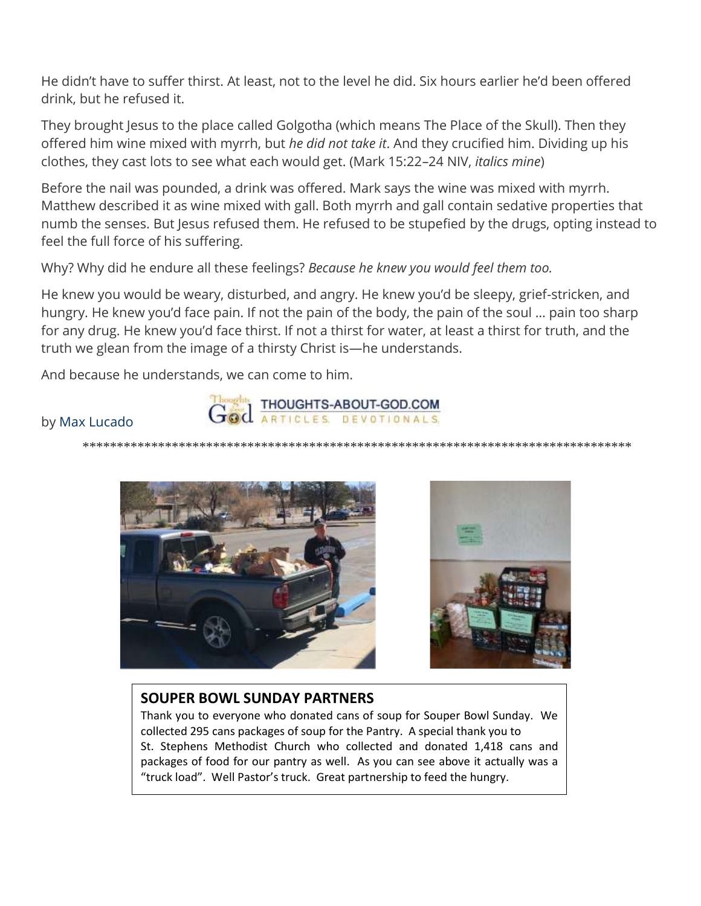He didn't have to suffer thirst. At least, not to the level he did. Six hours earlier he'd been offered drink, but he refused it.

They brought Jesus to the place called Golgotha (which means The Place of the Skull). Then they offered him wine mixed with myrrh, but *he did not take it*. And they crucified him. Dividing up his clothes, they cast lots to see what each would get. (Mark 15:22–24 NIV, *italics mine*)

Before the nail was pounded, a drink was offered. Mark says the wine was mixed with myrrh. Matthew described it as wine mixed with gall. Both myrrh and gall contain sedative properties that numb the senses. But Jesus refused them. He refused to be stupefied by the drugs, opting instead to feel the full force of his suffering.

Why? Why did he endure all these feelings? *Because he knew you would feel them too.*

He knew you would be weary, disturbed, and angry. He knew you'd be sleepy, grief-stricken, and hungry. He knew you'd face pain. If not the pain of the body, the pain of the soul … pain too sharp for any drug. He knew you'd face thirst. If not a thirst for water, at least a thirst for truth, and the truth we glean from the image of a thirsty Christ is—he understands.

And because he understands, we can come to him.

**Thoughts** 

#### by [Max Lucado](http://maxlucado.com/about/)

\*\*\*\*\*\*\*\*\*\*\*\*\*\*\*\*\*\*\*\*\*\*\*\*\*\*\*\*\*\*\*\*\*\*\*\*\*\*\*\*\*\*\*\*\*\*\*\*\*\*\*\*\*\*\*\*\*\*\*\*\*\*\*\*\*\*\*\*\*\*\*\*\*\*\*\*\*\*\*\*

THOUGHTS-ABOUT-GOD.COM ARTICLES DEVOTIONALS





#### **SOUPER BOWL SUNDAY PARTNERS**

Thank you to everyone who donated cans of soup for Souper Bowl Sunday. We collected 295 cans packages of soup for the Pantry. A special thank you to St. Stephens Methodist Church who collected and donated 1,418 cans and packages of food for our pantry as well. As you can see above it actually was a "truck load". Well Pastor's truck. Great partnership to feed the hungry.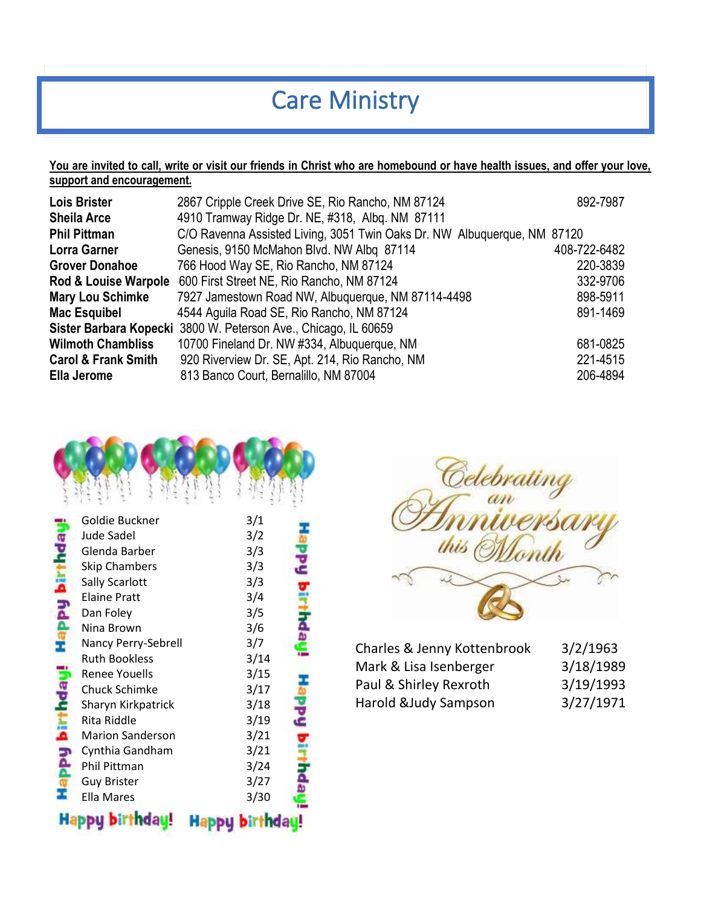# Care Ministry

#### **You are invited to call, write or visit our friends in Christ who are homebound or have health issues, and offer your love, support and encouragement.**

| <b>Lois Brister</b>             | 2867 Cripple Creek Drive SE, Rio Rancho, NM 87124                        | 892-7987     |
|---------------------------------|--------------------------------------------------------------------------|--------------|
| <b>Sheila Arce</b>              | 4910 Tramway Ridge Dr. NE, #318, Albq. NM 87111                          |              |
| <b>Phil Pittman</b>             | C/O Ravenna Assisted Living, 3051 Twin Oaks Dr. NW Albuquerque, NM 87120 |              |
| <b>Lorra Garner</b>             | Genesis, 9150 McMahon Blvd. NW Albq 87114                                | 408-722-6482 |
| <b>Grover Donahoe</b>           | 766 Hood Way SE, Rio Rancho, NM 87124                                    | 220-3839     |
| <b>Rod &amp; Louise Warpole</b> | 600 First Street NE, Rio Rancho, NM 87124                                | 332-9706     |
| <b>Mary Lou Schimke</b>         | 7927 Jamestown Road NW, Albuquerque, NM 87114-4498                       | 898-5911     |
| Mac Esquibel                    | 4544 Aguila Road SE, Rio Rancho, NM 87124                                | 891-1469     |
|                                 | Sister Barbara Kopecki 3800 W. Peterson Ave., Chicago, IL 60659          |              |
| <b>Wilmoth Chambliss</b>        | 10700 Fineland Dr. NW #334, Albuquerque, NM                              | 681-0825     |
| <b>Carol &amp; Frank Smith</b>  | 920 Riverview Dr. SE, Apt. 214, Rio Rancho, NM                           | 221-4515     |
| Ella Jerome                     | 813 Banco Court, Bernalillo, NM 87004                                    | 206-4894     |



|              | Goldie Buckner          | 3/1  |  |
|--------------|-------------------------|------|--|
|              | Jude Sadel              | 3/2  |  |
| <b>Indau</b> | Glenda Barber           | 3/3  |  |
|              | <b>Skip Chambers</b>    | 3/3  |  |
| é            | Sally Scarlott          | 3/3  |  |
|              | <b>Elaine Pratt</b>     | 3/4  |  |
| hdde         | Dan Foley               | 3/5  |  |
|              | Nina Brown              | 3/6  |  |
|              | Nancy Perry-Sebrell     | 3/7  |  |
|              | <b>Ruth Bookless</b>    | 3/14 |  |
|              | <b>Renee Youells</b>    | 3/15 |  |
| <b>Thdau</b> | <b>Chuck Schimke</b>    | 3/17 |  |
|              | Sharyn Kirkpatrick      | 3/18 |  |
|              | Rita Riddle             | 3/19 |  |
|              | <b>Marion Sanderson</b> | 3/21 |  |
|              | Cynthia Gandham         | 3/21 |  |
|              | Phil Pittman            | 3/24 |  |
| hdde.        | <b>Guy Brister</b>      | 3/27 |  |
|              | <b>Ella Mares</b>       | 3/30 |  |
|              |                         |      |  |

Happy birthday! Happy birthday!



| Charles & Jenny Kottenbrook | 3/2/1963  |
|-----------------------------|-----------|
| Mark & Lisa Isenberger      | 3/18/1989 |
| Paul & Shirley Rexroth      | 3/19/1993 |
| Harold &Judy Sampson        | 3/27/1971 |